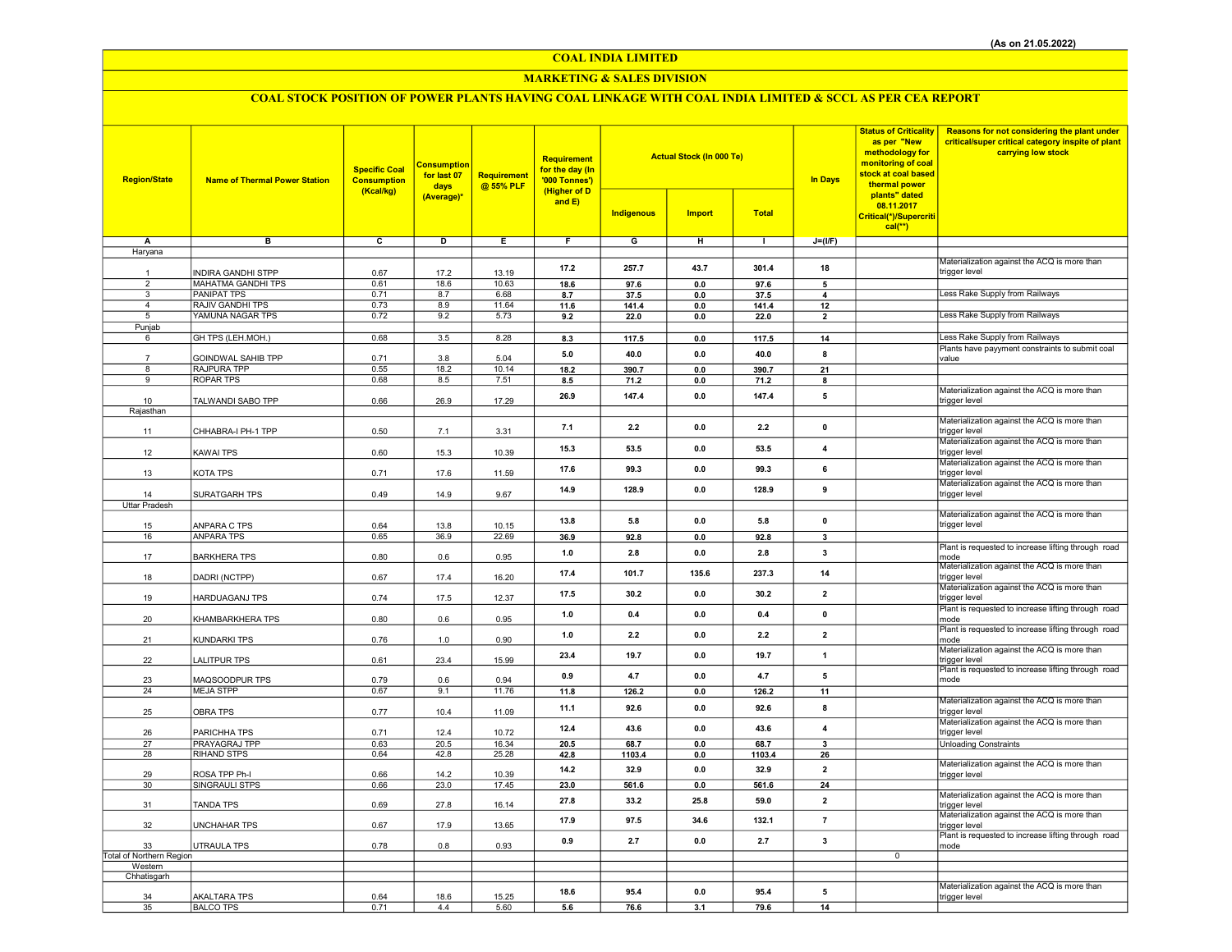## COAL INDIA LIMITED

## MARKETING & SALES DIVISION

# COAL STOCK POSITION OF POWER PLANTS HAVING COAL LINKAGE WITH COAL INDIA LIMITED & SCCL AS PER CEA REPORT

| <b>Region/State</b>      | <b>Name of Thermal Power Station</b> | <b>Specific Coal</b><br><b>Consumption</b><br>(Kcal/kg) | <b>Consumption</b><br>for last 07<br>days<br>(Average)* | Requirement<br>@ 55% PLF | Requirement<br>for the day (In<br>'000 Tonnes')<br>(Higher of D<br>and $E$ ) | <b>Actual Stock (In 000 Te)</b><br><b>Indigenous</b><br><b>Import</b><br><b>Total</b> |            |                | <b>In Days</b>          | <b>Status of Criticality</b><br>as per "New<br>methodology for<br>monitoring of coal<br>stock at coal based<br>thermal power<br>plants" dated<br>08.11.2017<br>Critical(*)/Supercriti | Reasons for not considering the plant under<br>critical/super critical category inspite of plant<br>carrying low stock |
|--------------------------|--------------------------------------|---------------------------------------------------------|---------------------------------------------------------|--------------------------|------------------------------------------------------------------------------|---------------------------------------------------------------------------------------|------------|----------------|-------------------------|---------------------------------------------------------------------------------------------------------------------------------------------------------------------------------------|------------------------------------------------------------------------------------------------------------------------|
|                          |                                      |                                                         |                                                         |                          |                                                                              |                                                                                       |            |                |                         | $cal(**)$                                                                                                                                                                             |                                                                                                                        |
| Α                        | в                                    | $\overline{c}$                                          | D                                                       | Ε                        | $\overline{F}$                                                               | G                                                                                     | н          | $\blacksquare$ | $J=(I/F)$               |                                                                                                                                                                                       |                                                                                                                        |
| Haryana                  |                                      |                                                         |                                                         |                          |                                                                              |                                                                                       |            |                |                         |                                                                                                                                                                                       |                                                                                                                        |
| $\overline{1}$           | NDIRA GANDHI STPP                    | 0.67                                                    | 17.2                                                    | 13.19                    | 17.2                                                                         | 257.7                                                                                 | 43.7       | 301.4          | 18                      |                                                                                                                                                                                       | Materialization against the ACQ is more than<br>trigger level                                                          |
| $\overline{2}$           | <b>MAHATMA GANDHI TPS</b>            | 0.61                                                    | 18.6                                                    | 10.63                    | 18.6                                                                         | 97.6                                                                                  | $0.0\,$    | 97.6           | $\overline{5}$          |                                                                                                                                                                                       |                                                                                                                        |
| $\overline{\mathbf{3}}$  | <b>PANIPAT TPS</b>                   | 0.71                                                    | 8.7                                                     | 6.68                     | 8.7                                                                          | 37.5                                                                                  | $0.0\,$    | 37.5           | $\overline{\mathbf{4}}$ |                                                                                                                                                                                       | Less Rake Supply from Railways                                                                                         |
| $\overline{4}$           | <b>RAJIV GANDHI TPS</b>              | 0.73                                                    | 8.9                                                     | 11.64                    | 11.6                                                                         | 141.4                                                                                 | 0.0        | 141.4          | 12                      |                                                                                                                                                                                       |                                                                                                                        |
| 5                        | YAMUNA NAGAR TPS                     | 0.72                                                    | 9.2                                                     | 5.73                     | 9.2                                                                          | 22.0                                                                                  | 0.0        | 22.0           | $\overline{\mathbf{z}}$ |                                                                                                                                                                                       | Less Rake Supply from Railways                                                                                         |
| Punjab<br>6              | GH TPS (LEH.MOH.)                    | 0.68                                                    | 3.5                                                     | 8.28                     |                                                                              |                                                                                       |            |                |                         |                                                                                                                                                                                       | Less Rake Supply from Railways                                                                                         |
|                          |                                      |                                                         |                                                         |                          | 8.3                                                                          | 117.5                                                                                 | $0.0\,$    | 117.5          | 14                      |                                                                                                                                                                                       | Plants have payyment constraints to submit coal                                                                        |
|                          | <b>GOINDWAL SAHIB TPP</b>            | 0.71                                                    | 3.8                                                     | 5.04                     | 5.0                                                                          | 40.0                                                                                  | 0.0        | 40.0           | 8                       |                                                                                                                                                                                       | value                                                                                                                  |
| 8                        | RAJPURA TPP                          | 0.55                                                    | 18.2                                                    | 10.14                    | 18.2                                                                         | 390.7                                                                                 | 0.0        | 390.7          | 21                      |                                                                                                                                                                                       |                                                                                                                        |
| 9                        | <b>ROPAR TPS</b>                     | 0.68                                                    | 8.5                                                     | 7.51                     | 8.5                                                                          | 71.2                                                                                  | 0.0        | 71.2           | 8                       |                                                                                                                                                                                       |                                                                                                                        |
| 10                       | TALWANDI SABO TPP                    | 0.66                                                    | 26.9                                                    | 17.29                    | 26.9                                                                         | 147.4                                                                                 | 0.0        | 147.4          | 5                       |                                                                                                                                                                                       | Materialization against the ACQ is more than<br>trigger level                                                          |
| Rajasthan                |                                      |                                                         |                                                         |                          |                                                                              |                                                                                       |            |                |                         |                                                                                                                                                                                       |                                                                                                                        |
| 11                       | CHHABRA-I PH-1 TPP                   | 0.50                                                    | 7.1                                                     | 3.31                     | 7.1                                                                          | 2.2                                                                                   | 0.0        | 2.2            | $\mathbf 0$             |                                                                                                                                                                                       | Materialization against the ACQ is more than<br>trigger level                                                          |
| 12                       | KAWAI TPS                            | 0.60                                                    | 15.3                                                    | 10.39                    | 15.3                                                                         | 53.5                                                                                  | 0.0        | 53.5           | 4                       |                                                                                                                                                                                       | Materialization against the ACQ is more than<br>trigger level                                                          |
| 13                       | KOTA TPS                             | 0.71                                                    | 17.6                                                    | 11.59                    | 17.6                                                                         | 99.3                                                                                  | 0.0        | 99.3           | 6                       |                                                                                                                                                                                       | Materialization against the ACQ is more than<br>trigger level                                                          |
| 14                       | SURATGARH TPS                        | 0.49                                                    | 14.9                                                    | 9.67                     | 14.9                                                                         | 128.9                                                                                 | 0.0        | 128.9          | 9                       |                                                                                                                                                                                       | Materialization against the ACQ is more than<br>trigger level                                                          |
| <b>Uttar Pradesh</b>     |                                      |                                                         |                                                         |                          |                                                                              |                                                                                       |            |                |                         |                                                                                                                                                                                       |                                                                                                                        |
|                          |                                      |                                                         |                                                         |                          | 13.8                                                                         | 5.8                                                                                   | 0.0        | 5.8            | $\mathbf 0$             |                                                                                                                                                                                       | Materialization against the ACQ is more than                                                                           |
| 15                       | ANPARA C TPS                         | 0.64                                                    | 13.8                                                    | 10.15                    |                                                                              |                                                                                       |            |                |                         |                                                                                                                                                                                       | trigger level                                                                                                          |
| 16                       | <b>ANPARA TPS</b>                    | 0.65                                                    | 36.9                                                    | 22.69                    | 36.9                                                                         | 92.8                                                                                  | 0.0        | 92.8           | 3                       |                                                                                                                                                                                       | Plant is requested to increase lifting through road                                                                    |
| 17                       | <b>BARKHERA TPS</b>                  | 0.80                                                    | 0.6                                                     | 0.95                     | 1.0                                                                          | 2.8                                                                                   | 0.0        | 2.8            | $\overline{\mathbf{3}}$ |                                                                                                                                                                                       | mode<br>Materialization against the ACQ is more than                                                                   |
| 18                       | DADRI (NCTPP)                        | 0.67                                                    | 17.4                                                    | 16.20                    | 17.4                                                                         | 101.7                                                                                 | 135.6      | 237.3          | 14                      |                                                                                                                                                                                       | trigger level                                                                                                          |
| 19                       | <b>HARDUAGANJ TPS</b>                | 0.74                                                    | 17.5                                                    | 12.37                    | 17.5                                                                         | 30.2                                                                                  | 0.0        | 30.2           | $\overline{2}$          |                                                                                                                                                                                       | Materialization against the ACQ is more than<br>trigger level                                                          |
| 20                       | KHAMBARKHERA TPS                     | 0.80                                                    | 0.6                                                     | 0.95                     | 1.0                                                                          | 0.4                                                                                   | 0.0        | 0.4            | $\pmb{0}$               |                                                                                                                                                                                       | Plant is requested to increase lifting through road<br>mode                                                            |
| 21                       | KUNDARKI TPS                         | 0.76                                                    | 1.0                                                     | 0.90                     | 1.0                                                                          | 2.2                                                                                   | 0.0        | 2.2            | $\overline{\mathbf{z}}$ |                                                                                                                                                                                       | Plant is requested to increase lifting through road<br>mode                                                            |
| 22                       | ALITPUR TPS                          | 0.61                                                    | 23.4                                                    | 15.99                    | 23.4                                                                         | 19.7                                                                                  | 0.0        | 19.7           | $\mathbf{1}$            |                                                                                                                                                                                       | Materialization against the ACQ is more than<br>trigger level                                                          |
| 23                       | MAQSOODPUR TPS                       | 0.79                                                    | 0.6                                                     | 0.94                     | 0.9                                                                          | 4.7                                                                                   | 0.0        | 4.7            | 5                       |                                                                                                                                                                                       | Plant is requested to increase lifting through road<br>mode                                                            |
| 24                       | <b>MEJA STPP</b>                     | 0.67                                                    | 9.1                                                     | 11.76                    | 11.8                                                                         | 126.2                                                                                 | 0.0        | 126.2          | 11                      |                                                                                                                                                                                       |                                                                                                                        |
| 25                       | OBRA TPS                             | 0.77                                                    | 10.4                                                    | 11.09                    | 11.1                                                                         | 92.6                                                                                  | 0.0        | 92.6           | 8                       |                                                                                                                                                                                       | Materialization against the ACQ is more than<br>trigger level                                                          |
| 26                       | PARICHHA TPS                         | 0.71                                                    | 12.4                                                    | 10.72                    | 12.4                                                                         | 43.6                                                                                  | 0.0        | 43.6           | $\overline{4}$          |                                                                                                                                                                                       | Materialization against the ACQ is more than<br>trigger level                                                          |
| 27<br>28                 | PRAYAGRAJ TPP<br>RIHAND STPS         | 0.63<br>0.64                                            | 20.5<br>42.8                                            | 16.34<br>25.28           | 20.5<br>42.8                                                                 | 68.7<br>1103.4                                                                        | 0.0<br>0.0 | 68.7<br>1103.4 | $\overline{\mathbf{3}}$ |                                                                                                                                                                                       | <b>Unloading Constraints</b>                                                                                           |
|                          |                                      |                                                         |                                                         |                          |                                                                              |                                                                                       |            |                | 26                      |                                                                                                                                                                                       | Materialization against the ACQ is more than                                                                           |
| 29                       | ROSA TPP Ph-I                        | 0.66                                                    | 14.2                                                    | 10.39                    | 14.2                                                                         | 32.9                                                                                  | 0.0        | 32.9           | $\overline{\mathbf{2}}$ |                                                                                                                                                                                       | trigger level                                                                                                          |
| 30                       | SINGRAULI STPS                       | 0.66                                                    | 23.0                                                    | 17.45                    | 23.0                                                                         | 561.6                                                                                 | 0.0        | 561.6          | 24                      |                                                                                                                                                                                       |                                                                                                                        |
| 31                       | <b>TANDA TPS</b>                     | 0.69                                                    | 27.8                                                    | 16.14                    | 27.8                                                                         | 33.2                                                                                  | 25.8       | 59.0           | $\overline{2}$          |                                                                                                                                                                                       | Materialization against the ACQ is more than<br>trigger level                                                          |
| 32                       | UNCHAHAR TPS                         | 0.67                                                    | 17.9                                                    | 13.65                    | 17.9                                                                         | 97.5                                                                                  | 34.6       | 132.1          | $\overline{7}$          |                                                                                                                                                                                       | Materialization against the ACQ is more than<br>trigger level                                                          |
| 33                       | UTRAULA TPS                          | 0.78                                                    | $0.8\,$                                                 | 0.93                     | 0.9                                                                          | 2.7                                                                                   | 0.0        | 2.7            | $\overline{\mathbf{3}}$ |                                                                                                                                                                                       | Plant is requested to increase lifting through road<br>mode                                                            |
| Total of Northern Region |                                      |                                                         |                                                         |                          |                                                                              |                                                                                       |            |                |                         | $\overline{0}$                                                                                                                                                                        |                                                                                                                        |
| Western<br>Chhatisgarh   |                                      |                                                         |                                                         |                          |                                                                              |                                                                                       |            |                |                         |                                                                                                                                                                                       |                                                                                                                        |
|                          |                                      |                                                         |                                                         |                          |                                                                              |                                                                                       | 0.0        | 95.4           | 5                       |                                                                                                                                                                                       | Materialization against the ACQ is more than                                                                           |
| 34                       | AKALTARA TPS                         | 0.64                                                    | 18.6                                                    | 15.25                    | 18.6                                                                         | 95.4                                                                                  |            |                |                         |                                                                                                                                                                                       | trigger level                                                                                                          |
| 35                       | <b>BALCO TPS</b>                     | 0.71                                                    | 4.4                                                     | 5.60                     | 5.6                                                                          | 76.6                                                                                  | 3.1        | 79.6           | 14                      |                                                                                                                                                                                       |                                                                                                                        |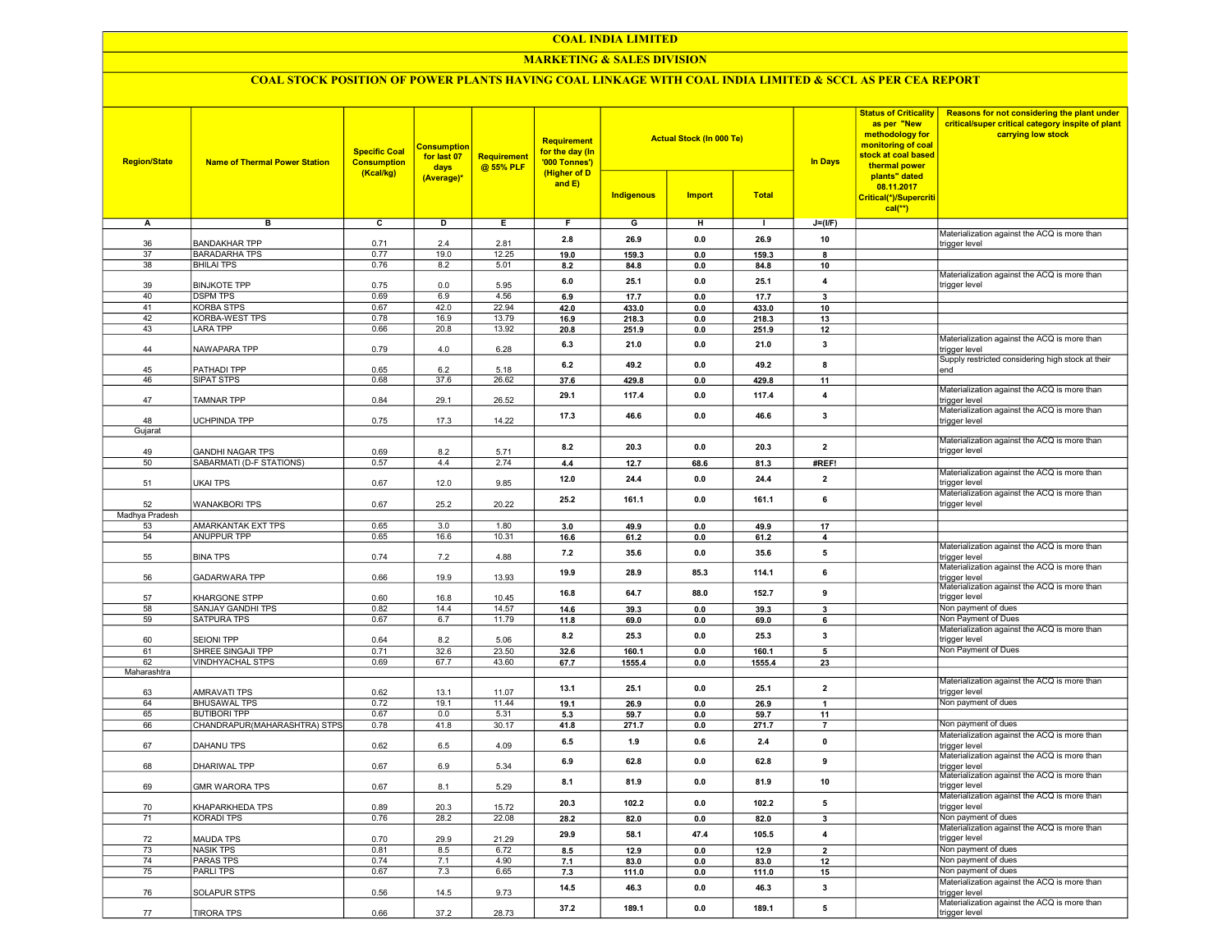#### COAL INDIA LIMITED

## MARKETING & SALES DIVISION

## COAL STOCK POSITION OF POWER PLANTS HAVING COAL LINKAGE WITH COAL INDIA LIMITED & SCCL AS PER CEA REPORT

| <b>Region/State</b> | <b>Name of Thermal Power Station</b>     | <b>Specific Coal</b><br><b>Consumption</b><br>(Kcal/kg) | <b>Consumption</b><br>for last 07<br>days<br>(Average)* | <b>Requirement</b><br>@ 55% PLF | <b>Requirement</b><br>for the day (In<br>'000 Tonnes')<br>(Higher of D<br>and E) | <b>Indigenous</b> | <b>Actual Stock (In 000 Te)</b><br><b>Import</b> | <b>Total</b> | <b>In Days</b>          | <b>Status of Criticality</b><br>as per "New<br>methodology for<br>monitoring of coal<br>stock at coal based<br>thermal power<br>plants" dated<br>08.11.2017<br>Critical(*)/Supercriti<br>$cal$ <sup>**</sup> ) | Reasons for not considering the plant under<br>critical/super critical category inspite of plant<br>carrying low stock |
|---------------------|------------------------------------------|---------------------------------------------------------|---------------------------------------------------------|---------------------------------|----------------------------------------------------------------------------------|-------------------|--------------------------------------------------|--------------|-------------------------|----------------------------------------------------------------------------------------------------------------------------------------------------------------------------------------------------------------|------------------------------------------------------------------------------------------------------------------------|
| А                   | в                                        | $\overline{c}$                                          | D                                                       | Е.                              | F.                                                                               | G                 | н                                                | л.           | $J=(I/F)$               |                                                                                                                                                                                                                |                                                                                                                        |
|                     |                                          |                                                         |                                                         |                                 |                                                                                  |                   |                                                  |              |                         |                                                                                                                                                                                                                | Materialization against the ACQ is more than                                                                           |
| 36                  | <b>BANDAKHAR TPP</b>                     | 0.71                                                    | 2.4                                                     | 2.81                            | 2.8                                                                              | 26.9              | 0.0                                              | 26.9         | 10                      |                                                                                                                                                                                                                | trigger level                                                                                                          |
| 37                  | <b>BARADARHA TPS</b>                     | 0.77                                                    | 19.0                                                    | 12.25                           | 19.0                                                                             | 159.3             | 0.0                                              | 159.3        | 8                       |                                                                                                                                                                                                                |                                                                                                                        |
| 38                  | <b>BHILAI TPS</b>                        | 0.76                                                    | 8.2                                                     | 5.01                            | 8.2                                                                              | 84.8              | 0.0                                              | 84.8         | 10                      |                                                                                                                                                                                                                |                                                                                                                        |
| 39                  | <b>BINJKOTE TPP</b>                      | 0.75                                                    | 0.0                                                     | 5.95                            | 6.0                                                                              | 25.1              | 0.0                                              | 25.1         | $\overline{4}$          |                                                                                                                                                                                                                | Materialization against the ACQ is more than<br>trigger level                                                          |
| 40                  | <b>DSPM TPS</b>                          | 0.69                                                    | 6.9                                                     | 4.56                            | 6.9                                                                              | 17.7              | 0.0                                              | 17.7         | 3                       |                                                                                                                                                                                                                |                                                                                                                        |
| 41                  | <b>KORBA STPS</b>                        | 0.67                                                    | 42.0                                                    | 22.94                           | 42.0                                                                             | 433.0             | 0.0                                              | 433.0        | 10                      |                                                                                                                                                                                                                |                                                                                                                        |
| 42                  | KORBA-WEST TPS                           | 0.78                                                    | 16.9                                                    | 13.79                           | 16.9                                                                             | 218.3             | 0.0                                              | 218.3        | 13                      |                                                                                                                                                                                                                |                                                                                                                        |
| 43                  | LARA TPP                                 | 0.66                                                    | 20.8                                                    | 13.92                           | 20.8                                                                             | 251.9             | 0.0                                              | 251.9        | 12                      |                                                                                                                                                                                                                |                                                                                                                        |
|                     |                                          |                                                         |                                                         |                                 | 6.3                                                                              | 21.0              | 0.0                                              | 21.0         | 3                       |                                                                                                                                                                                                                | Materialization against the ACQ is more than                                                                           |
| 44                  | NAWAPARA TPP                             | 0.79                                                    | 4.0                                                     | 6.28                            |                                                                                  |                   |                                                  |              |                         |                                                                                                                                                                                                                | trigger level                                                                                                          |
| 45                  | PATHADI TPP                              | 0.65                                                    | 6.2                                                     | 5.18                            | 6.2                                                                              | 49.2              | 0.0                                              | 49.2         | 8                       |                                                                                                                                                                                                                | Supply restricted considering high stock at their<br>end                                                               |
| 46                  | SIPAT STPS                               | 0.68                                                    | 37.6                                                    | 26.62                           | 37.6                                                                             | 429.8             | 0.0                                              | 429.8        | 11                      |                                                                                                                                                                                                                |                                                                                                                        |
|                     |                                          |                                                         |                                                         |                                 |                                                                                  |                   |                                                  |              |                         |                                                                                                                                                                                                                | Materialization against the ACQ is more than                                                                           |
| 47                  | TAMNAR TPP                               | 0.84                                                    | 29.1                                                    | 26.52                           | 29.1                                                                             | 117.4             | 0.0                                              | 117.4        | $\overline{4}$          |                                                                                                                                                                                                                | trigger level                                                                                                          |
|                     |                                          |                                                         |                                                         |                                 | 17.3                                                                             | 46.6              | 0.0                                              | 46.6         | $\overline{\mathbf{3}}$ |                                                                                                                                                                                                                | Materialization against the ACQ is more than                                                                           |
| 48                  | <b>UCHPINDA TPP</b>                      | 0.75                                                    | 17.3                                                    | 14.22                           |                                                                                  |                   |                                                  |              |                         |                                                                                                                                                                                                                | trigger level                                                                                                          |
| Gujarat             |                                          |                                                         |                                                         |                                 |                                                                                  |                   |                                                  |              |                         |                                                                                                                                                                                                                | Materialization against the ACQ is more than                                                                           |
| 49                  | <b>GANDHI NAGAR TPS</b>                  | 0.69                                                    | 8.2                                                     | 5.71                            | 8.2                                                                              | 20.3              | 0.0                                              | 20.3         | $\overline{2}$          |                                                                                                                                                                                                                | trigger level                                                                                                          |
| 50                  | SABARMATI (D-F STATIONS)                 | 0.57                                                    | 4.4                                                     | 2.74                            | 4.4                                                                              | 12.7              | 68.6                                             | 81.3         | #REF!                   |                                                                                                                                                                                                                |                                                                                                                        |
|                     |                                          |                                                         |                                                         |                                 |                                                                                  |                   |                                                  |              |                         |                                                                                                                                                                                                                | Materialization against the ACQ is more than                                                                           |
| 51                  | UKAI TPS                                 | 0.67                                                    | 12.0                                                    | 9.85                            | 12.0                                                                             | 24.4              | 0.0                                              | 24.4         | $\overline{2}$          |                                                                                                                                                                                                                | trigger level                                                                                                          |
|                     |                                          |                                                         |                                                         |                                 | 25.2                                                                             | 161.1             | 0.0                                              | 161.1        | 6                       |                                                                                                                                                                                                                | Materialization against the ACQ is more than                                                                           |
| 52                  | <b>WANAKBORI TPS</b>                     | 0.67                                                    | 25.2                                                    | 20.22                           |                                                                                  |                   |                                                  |              |                         |                                                                                                                                                                                                                | trigger level                                                                                                          |
| Madhya Pradesh      |                                          |                                                         |                                                         |                                 |                                                                                  |                   |                                                  |              |                         |                                                                                                                                                                                                                |                                                                                                                        |
| 53<br>54            | AMARKANTAK EXT TPS<br><b>ANUPPUR TPP</b> | 0.65<br>0.65                                            | 3.0<br>16.6                                             | 1.80<br>10.31                   | 3.0                                                                              | 49.9<br>61.2      | 0.0<br>0.0                                       | 49.9         | 17<br>$\overline{4}$    |                                                                                                                                                                                                                |                                                                                                                        |
|                     |                                          |                                                         |                                                         |                                 | 16.6                                                                             |                   |                                                  | 61.2         |                         |                                                                                                                                                                                                                | Materialization against the ACQ is more than                                                                           |
| 55                  | <b>BINA TPS</b>                          | 0.74                                                    | 7.2                                                     | 4.88                            | 7.2                                                                              | 35.6              | 0.0                                              | 35.6         | 5                       |                                                                                                                                                                                                                | trigger level                                                                                                          |
|                     |                                          |                                                         |                                                         |                                 | 19.9                                                                             | 28.9              | 85.3                                             | 114.1        | 6                       |                                                                                                                                                                                                                | Materialization against the ACQ is more than                                                                           |
| 56                  | GADARWARA TPP                            | 0.66                                                    | 19.9                                                    | 13.93                           |                                                                                  |                   |                                                  |              |                         |                                                                                                                                                                                                                | trigger level                                                                                                          |
|                     |                                          |                                                         |                                                         |                                 | 16.8                                                                             | 64.7              | 88.0                                             | 152.7        | 9                       |                                                                                                                                                                                                                | Materialization against the ACQ is more than                                                                           |
| 57<br>58            | KHARGONE STPP<br>SANJAY GANDHI TPS       | 0.60<br>0.82                                            | 16.8<br>14.4                                            | 10.45<br>14.57                  |                                                                                  |                   |                                                  |              | 3                       |                                                                                                                                                                                                                | trigger level<br>Non payment of dues                                                                                   |
| 59                  | SATPURA TPS                              | 0.67                                                    | 6.7                                                     | 11.79                           | 14.6<br>11.8                                                                     | 39.3<br>69.0      | 0.0<br>0.0                                       | 39.3<br>69.0 | 6                       |                                                                                                                                                                                                                | Non Payment of Dues                                                                                                    |
|                     |                                          |                                                         |                                                         |                                 |                                                                                  |                   |                                                  |              |                         |                                                                                                                                                                                                                | Materialization against the ACQ is more than                                                                           |
| 60                  | <b>SEIONI TPP</b>                        | 0.64                                                    | 8.2                                                     | 5.06                            | 8.2                                                                              | 25.3              | 0.0                                              | 25.3         | 3                       |                                                                                                                                                                                                                | trigger level                                                                                                          |
| 61                  | SHREE SINGAJI TPP                        | 0.71                                                    | 32.6                                                    | 23.50                           | 32.6                                                                             | 160.1             | 0.0                                              | 160.1        | 5                       |                                                                                                                                                                                                                | Non Payment of Dues                                                                                                    |
| 62                  | VINDHYACHAL STPS                         | 0.69                                                    | 67.7                                                    | 43.60                           | 67.7                                                                             | 1555.4            | 0.0                                              | 1555.4       | 23                      |                                                                                                                                                                                                                |                                                                                                                        |
| Maharashtra         |                                          |                                                         |                                                         |                                 |                                                                                  |                   |                                                  |              |                         |                                                                                                                                                                                                                |                                                                                                                        |
|                     |                                          |                                                         |                                                         |                                 | 13.1                                                                             | 25.1              | 0.0                                              | 25.1         | $\overline{2}$          |                                                                                                                                                                                                                | Materialization against the ACQ is more than                                                                           |
| 63<br>64            | AMRAVATI TPS<br><b>BHUSAWAL TPS</b>      | 0.62<br>0.72                                            | 13.1<br>19.1                                            | 11.07<br>11.44                  | 19.1                                                                             | 26.9              | 0.0                                              | 26.9         | $\mathbf{1}$            |                                                                                                                                                                                                                | trigger level<br>Non payment of dues                                                                                   |
| 65                  | <b>BUTIBORI TPP</b>                      | 0.67                                                    | 0.0                                                     | 5.31                            | 5.3                                                                              | 59.7              | 0.0                                              | 59.7         | 11                      |                                                                                                                                                                                                                |                                                                                                                        |
| 66                  | CHANDRAPUR(MAHARASHTRA) STPS             | 0.78                                                    | 41.8                                                    | 30.17                           | 41.8                                                                             | 271.7             | 0.0                                              | 271.7        | $\overline{7}$          |                                                                                                                                                                                                                | Non payment of dues                                                                                                    |
|                     |                                          |                                                         |                                                         |                                 |                                                                                  |                   |                                                  |              |                         |                                                                                                                                                                                                                | Materialization against the ACQ is more than                                                                           |
| 67                  | <b>DAHANU TPS</b>                        | 0.62                                                    | 6.5                                                     | 4.09                            | 6.5                                                                              | 1.9               | 0.6                                              | $2.4\,$      | $\pmb{0}$               |                                                                                                                                                                                                                | trigger level                                                                                                          |
|                     |                                          |                                                         |                                                         |                                 | 6.9                                                                              | 62.8              | 0.0                                              | 62.8         | 9                       |                                                                                                                                                                                                                | Materialization against the ACQ is more than                                                                           |
| 68                  | DHARIWAL TPP                             | 0.67                                                    | 6.9                                                     | 5.34                            |                                                                                  |                   |                                                  |              |                         |                                                                                                                                                                                                                | trigger level<br>Materialization against the ACQ is more than                                                          |
| 69                  | GMR WARORA TPS                           | 0.67                                                    | 8.1                                                     | 5.29                            | 8.1                                                                              | 81.9              | 0.0                                              | 81.9         | 10                      |                                                                                                                                                                                                                | trigger level                                                                                                          |
|                     |                                          |                                                         |                                                         |                                 |                                                                                  |                   |                                                  |              |                         |                                                                                                                                                                                                                | Materialization against the ACQ is more than                                                                           |
| 70                  | KHAPARKHEDA TPS                          | 0.89                                                    | 20.3                                                    | 15.72                           | 20.3                                                                             | 102.2             | 0.0                                              | 102.2        | 5                       |                                                                                                                                                                                                                | trigger level                                                                                                          |
| 71                  | KORADI TPS                               | 0.76                                                    | 28.2                                                    | 22.08                           | 28.2                                                                             | 82.0              | 0.0                                              | 82.0         | 3                       |                                                                                                                                                                                                                | Non payment of dues                                                                                                    |
|                     |                                          |                                                         |                                                         |                                 | 29.9                                                                             | 58.1              | 47.4                                             | 105.5        | $\boldsymbol{4}$        |                                                                                                                                                                                                                | Materialization against the ACQ is more than                                                                           |
| 72                  | <b>MAUDA TPS</b>                         | 0.70                                                    | 29.9                                                    | 21.29                           |                                                                                  |                   |                                                  |              |                         |                                                                                                                                                                                                                | trigger level                                                                                                          |
| 73                  | <b>NASIK TPS</b>                         | 0.81                                                    | 8.5                                                     | 6.72                            | 8.5                                                                              | 12.9              | 0.0                                              | 12.9         | $\overline{2}$          |                                                                                                                                                                                                                | Non payment of dues                                                                                                    |
| 74                  | <b>PARAS TPS</b>                         | 0.74                                                    | 7.1                                                     | 4.90                            | 7.1                                                                              | 83.0              | 0.0                                              | 83.0         | 12                      |                                                                                                                                                                                                                | Non payment of dues                                                                                                    |
| 75                  | <b>PARLITPS</b>                          | 0.67                                                    | 7.3                                                     | 6.65                            | 7.3                                                                              | 111.0             | 0.0                                              | 111.0        | 15                      |                                                                                                                                                                                                                | Non payment of dues                                                                                                    |
|                     |                                          |                                                         |                                                         |                                 | 14.5                                                                             | 46.3              | 0.0                                              | 46.3         | $\mathbf{3}$            |                                                                                                                                                                                                                | Materialization against the ACQ is more than                                                                           |
| 76                  | SOLAPUR STPS                             | 0.56                                                    | 14.5                                                    | 9.73                            |                                                                                  |                   |                                                  |              |                         |                                                                                                                                                                                                                | trigger level<br>Materialization against the ACQ is more than                                                          |
| 77                  | <b>TIRORA TPS</b>                        | 0.66                                                    | 37.2                                                    | 28.73                           | 37.2                                                                             | 189.1             | 0.0                                              | 189.1        | 5                       |                                                                                                                                                                                                                | trigger level                                                                                                          |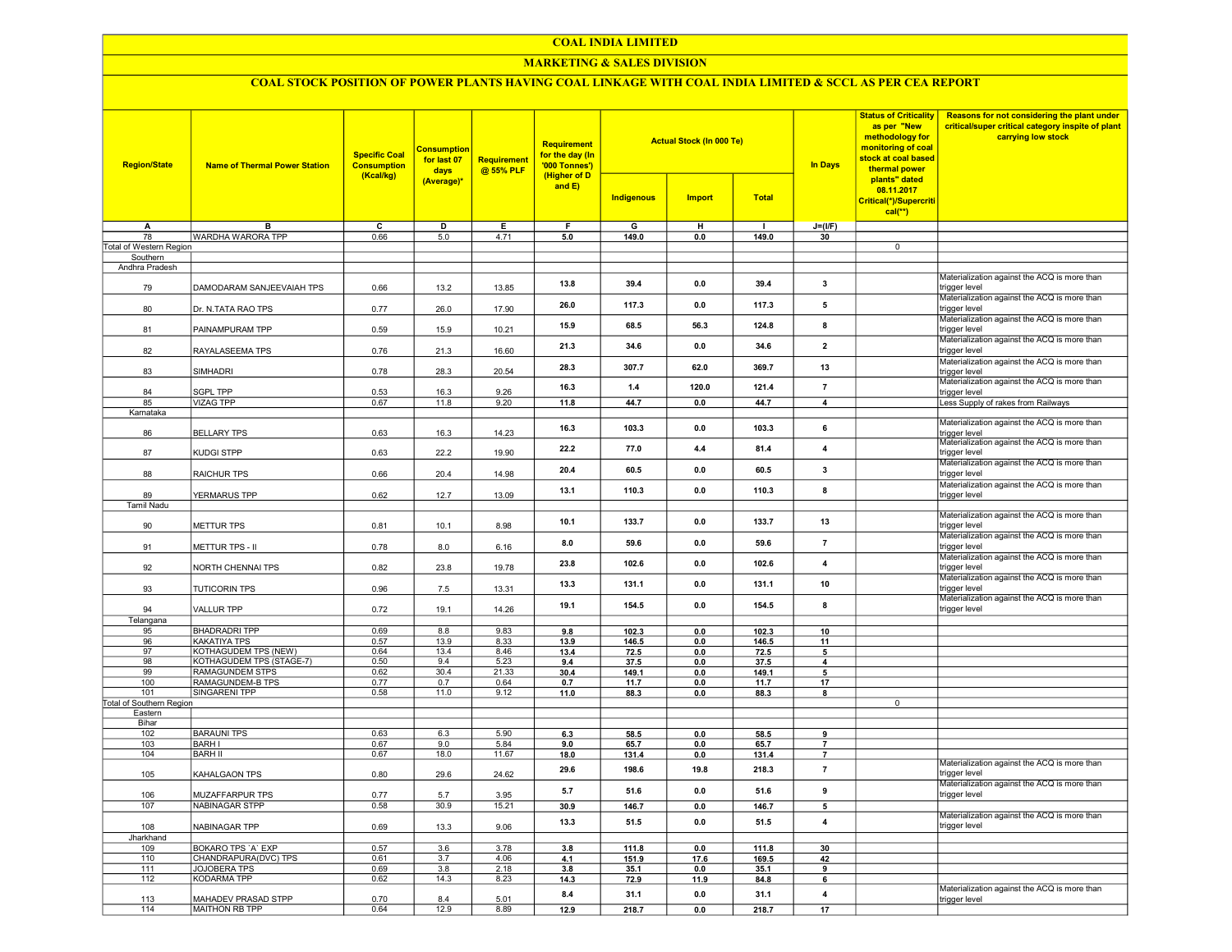#### COAL INDIA LIMITED

## MARKETING & SALES DIVISION

# COAL STOCK POSITION OF POWER PLANTS HAVING COAL LINKAGE WITH COAL INDIA LIMITED & SCCL AS PER CEA REPORT

| <b>Region/State</b>      | <b>Name of Thermal Power Station</b> | <b>Specific Coal</b><br><b>Consumption</b><br>(Kcal/kg) | <b>Consumption</b><br>for last 07<br>days | Requirement<br>@ 55% PLF | <b>Requirement</b><br>for the day (In<br>'000 Tonnes')<br>(Higher of D<br>and $E$ ) |                   | <b>Actual Stock (In 000 Te)</b> |                | <b>In Days</b>                   | <b>Status of Criticality</b><br>as per "New<br>methodology for<br>monitoring of coal<br>stock at coal based<br>thermal power<br>plants" dated<br>08.11.2017<br>Critical(*)/Supercriti<br>$cal(**)$ | Reasons for not considering the plant under<br>critical/super critical category inspite of plant<br>carrying low stock |
|--------------------------|--------------------------------------|---------------------------------------------------------|-------------------------------------------|--------------------------|-------------------------------------------------------------------------------------|-------------------|---------------------------------|----------------|----------------------------------|----------------------------------------------------------------------------------------------------------------------------------------------------------------------------------------------------|------------------------------------------------------------------------------------------------------------------------|
|                          |                                      |                                                         | (Average)*                                |                          |                                                                                     | <b>Indigenous</b> | <b>Import</b>                   | <b>Total</b>   |                                  |                                                                                                                                                                                                    |                                                                                                                        |
| A                        | B                                    | $\overline{c}$                                          | $\overline{\mathsf{D}}$                   | Ε                        | F                                                                                   | G                 | н                               | $\mathbf{I}$   | $J=(I/F)$                        |                                                                                                                                                                                                    |                                                                                                                        |
| 78                       | WARDHA WARORA TPP                    | 0.66                                                    | 5.0                                       | 4.71                     | 5.0                                                                                 | 149.0             | 0.0                             | 149.0          | 30                               |                                                                                                                                                                                                    |                                                                                                                        |
| Total of Western Region  |                                      |                                                         |                                           |                          |                                                                                     |                   |                                 |                |                                  | $\mathbf 0$                                                                                                                                                                                        |                                                                                                                        |
| Southern                 |                                      |                                                         |                                           |                          |                                                                                     |                   |                                 |                |                                  |                                                                                                                                                                                                    |                                                                                                                        |
| Andhra Pradesh           |                                      |                                                         |                                           |                          |                                                                                     |                   |                                 |                |                                  |                                                                                                                                                                                                    |                                                                                                                        |
| 79                       | DAMODARAM SANJEEVAIAH TPS            | 0.66                                                    | 13.2                                      | 13.85                    | 13.8                                                                                | 39.4              | 0.0                             | 39.4           | 3                                |                                                                                                                                                                                                    | Materialization against the ACQ is more than<br>trigger level                                                          |
| 80                       | Dr. N.TATA RAO TPS                   | 0.77                                                    | 26.0                                      | 17.90                    | 26.0                                                                                | 117.3             | 0.0                             | 117.3          | 5                                |                                                                                                                                                                                                    | Materialization against the ACQ is more than<br>trigger level<br>Materialization against the ACQ is more than          |
| 81                       | PAINAMPURAM TPP                      | 0.59                                                    | 15.9                                      | 10.21                    | 15.9                                                                                | 68.5              | 56.3                            | 124.8          | 8                                |                                                                                                                                                                                                    | trigger level<br>Materialization against the ACQ is more than                                                          |
| 82                       | RAYALASEEMA TPS                      | 0.76                                                    | 21.3                                      | 16.60                    | 21.3                                                                                | 34.6              | 0.0                             | 34.6           | $\mathbf{2}$                     |                                                                                                                                                                                                    | trigger level<br>Materialization against the ACQ is more than                                                          |
| 83                       | SIMHADRI                             | 0.78                                                    | 28.3                                      | 20.54                    | 28.3                                                                                | 307.7             | 62.0                            | 369.7          | 13                               |                                                                                                                                                                                                    | trigger level<br>Materialization against the ACQ is more than                                                          |
| 84                       | SGPL TPP                             | 0.53                                                    | 16.3                                      | 9.26                     | 16.3                                                                                | $1.4$             | 120.0                           | 121.4          | $\overline{7}$                   |                                                                                                                                                                                                    | trigger level                                                                                                          |
| 85                       | <b>VIZAG TPP</b>                     | 0.67                                                    | 11.8                                      | 9.20                     | 11.8                                                                                | 44.7              | 0.0                             | 44.7           | $\overline{\mathbf{4}}$          |                                                                                                                                                                                                    | Less Supply of rakes from Railways                                                                                     |
| Karnataka                |                                      |                                                         |                                           |                          |                                                                                     |                   |                                 |                |                                  |                                                                                                                                                                                                    |                                                                                                                        |
| 86                       | <b>BELLARY TPS</b>                   | 0.63                                                    | 16.3                                      | 14.23                    | 16.3                                                                                | 103.3             | 0.0                             | 103.3          | 6                                |                                                                                                                                                                                                    | Materialization against the ACQ is more than<br>trigger level                                                          |
| 87                       | KUDGI STPP                           | 0.63                                                    | 22.2                                      | 19.90                    | 22.2                                                                                | 77.0              | 4.4                             | 81.4           | $\overline{4}$                   |                                                                                                                                                                                                    | Materialization against the ACQ is more than<br>trigger level                                                          |
| 88                       | RAICHUR TPS                          | 0.66                                                    | 20.4                                      | 14.98                    | 20.4                                                                                | 60.5              | 0.0                             | 60.5           | 3                                |                                                                                                                                                                                                    | Materialization against the ACQ is more than<br>trigger level                                                          |
| 89                       | YERMARUS TPP                         | 0.62                                                    | 12.7                                      | 13.09                    | 13.1                                                                                | 110.3             | 0.0                             | 110.3          | 8                                |                                                                                                                                                                                                    | Materialization against the ACQ is more than<br>trigger level                                                          |
| <b>Tamil Nadu</b>        |                                      |                                                         |                                           |                          |                                                                                     |                   |                                 |                |                                  |                                                                                                                                                                                                    |                                                                                                                        |
| 90                       | METTUR TPS                           | 0.81                                                    | 10.1                                      | 8.98                     | 10.1                                                                                | 133.7             | 0.0                             | 133.7          | 13                               |                                                                                                                                                                                                    | Materialization against the ACQ is more than<br>trigger level                                                          |
| 91                       | METTUR TPS - II                      | 0.78                                                    | 8.0                                       | 6.16                     | 8.0                                                                                 | 59.6              | 0.0                             | 59.6           | $\overline{7}$                   |                                                                                                                                                                                                    | Materialization against the ACQ is more than<br>trigger level                                                          |
| 92                       | NORTH CHENNAI TPS                    | 0.82                                                    | 23.8                                      | 19.78                    | 23.8                                                                                | 102.6             | 0.0                             | 102.6          | 4                                |                                                                                                                                                                                                    | Materialization against the ACQ is more than<br>trigger level<br>Materialization against the ACQ is more than          |
| 93                       | <b>TUTICORIN TPS</b>                 | 0.96                                                    | 7.5                                       | 13.31                    | 13.3                                                                                | 131.1             | 0.0                             | 131.1          | 10                               |                                                                                                                                                                                                    | trigger level<br>Materialization against the ACQ is more than                                                          |
| 94                       | <b>VALLUR TPP</b>                    | 0.72                                                    | 19.1                                      | 14.26                    | 19.1                                                                                | 154.5             | 0.0                             | 154.5          | 8                                |                                                                                                                                                                                                    | trigger level                                                                                                          |
| Telangana<br>95          | <b>BHADRADRI TPP</b>                 | 0.69                                                    | 8.8                                       | 9.83                     |                                                                                     | 102.3             |                                 | 102.3          |                                  |                                                                                                                                                                                                    |                                                                                                                        |
| 96                       | KAKATIYA TPS                         | 0.57                                                    | 13.9                                      | 8.33                     | 9.8<br>13.9                                                                         | 146.5             | 0.0<br>0.0                      | 146.5          | 10<br>11                         |                                                                                                                                                                                                    |                                                                                                                        |
| 97                       | KOTHAGUDEM TPS (NEW)                 | 0.64                                                    | 13.4                                      | 8.46                     | 13.4                                                                                | 72.5              | 0.0                             | 72.5           | $\overline{\mathbf{5}}$          |                                                                                                                                                                                                    |                                                                                                                        |
| 98                       | KOTHAGUDEM TPS (STAGE-7)             | 0.50                                                    | 9.4                                       | 5.23                     | 9.4                                                                                 | 37.5              | 0.0                             | 37.5           | 4                                |                                                                                                                                                                                                    |                                                                                                                        |
| 99                       | RAMAGUNDEM STPS                      | 0.62                                                    | 30.4                                      | 21.33                    | 30.4                                                                                | 149.1             | 0.0                             | 149.1          | 5                                |                                                                                                                                                                                                    |                                                                                                                        |
| 100                      | RAMAGUNDEM-B TPS                     | 0.77                                                    | 0.7                                       | 0.64                     | 0.7                                                                                 | 11.7              | 0.0                             | 11.7           | 17                               |                                                                                                                                                                                                    |                                                                                                                        |
| 101                      | <b>SINGARENI TPP</b>                 | 0.58                                                    | 11.0                                      | 9.12                     | 11.0                                                                                | 88.3              | 0.0                             | 88.3           | 8                                |                                                                                                                                                                                                    |                                                                                                                        |
| Total of Southern Region |                                      |                                                         |                                           |                          |                                                                                     |                   |                                 |                |                                  | $\mathbf 0$                                                                                                                                                                                        |                                                                                                                        |
| Eastern                  |                                      |                                                         |                                           |                          |                                                                                     |                   |                                 |                |                                  |                                                                                                                                                                                                    |                                                                                                                        |
| Bihar                    |                                      |                                                         |                                           |                          |                                                                                     |                   |                                 |                |                                  |                                                                                                                                                                                                    |                                                                                                                        |
| 102                      | <b>BARAUNI TPS</b>                   | 0.63                                                    | 6.3                                       | 5.90                     | 6.3                                                                                 | 58.5              | 0.0                             | 58.5           | 9                                |                                                                                                                                                                                                    |                                                                                                                        |
| 103<br>104               | <b>BARH I</b><br><b>BARH II</b>      | 0.67<br>0.67                                            | 9.0<br>18.0                               | 5.84<br>11.67            | 9.0                                                                                 | 65.7              | 0.0                             | 65.7           | $\overline{7}$                   |                                                                                                                                                                                                    |                                                                                                                        |
| 105                      | KAHALGAON TPS                        | 0.80                                                    | 29.6                                      | 24.62                    | 18.0<br>29.6                                                                        | 131.4<br>198.6    | 0.0<br>19.8                     | 131.4<br>218.3 | $\overline{7}$<br>$\overline{7}$ |                                                                                                                                                                                                    | Materialization against the ACQ is more than<br>trigger level                                                          |
| 106                      | MUZAFFARPUR TPS                      | 0.77                                                    | 5.7                                       | 3.95                     | 5.7                                                                                 | 51.6              | 0.0                             | 51.6           | 9                                |                                                                                                                                                                                                    | Materialization against the ACQ is more than<br>trigger level                                                          |
| 107                      | <b>NABINAGAR STPP</b>                | 0.58                                                    | 30.9                                      | 15.21                    | 30.9                                                                                | 146.7             | 0.0                             | 146.7          | 5                                |                                                                                                                                                                                                    |                                                                                                                        |
| 108                      | NABINAGAR TPP                        | 0.69                                                    | 13.3                                      | 9.06                     | 13.3                                                                                | 51.5              | 0.0                             | 51.5           | 4                                |                                                                                                                                                                                                    | Materialization against the ACQ is more than<br>trigger level                                                          |
| Jharkhand                |                                      |                                                         |                                           |                          |                                                                                     |                   |                                 |                |                                  |                                                                                                                                                                                                    |                                                                                                                        |
| 109                      | <b>BOKARO TPS 'A' EXP</b>            | 0.57                                                    | 3.6                                       | 3.78                     | 3.8                                                                                 | 111.8             | 0 <sub>0</sub>                  | 111.8          | 30                               |                                                                                                                                                                                                    |                                                                                                                        |
| 110                      | CHANDRAPURA(DVC) TPS                 | 0.61                                                    | 3.7                                       | 4.06                     | 4.1                                                                                 | 151.9             | 17.6                            | 169.5          | 42                               |                                                                                                                                                                                                    |                                                                                                                        |
| 111                      | <b>JOJOBERA TPS</b>                  | 0.69                                                    | 3.8                                       | 2.18                     | 3.8                                                                                 | 35.1              | 0.0                             | 35.1           | 9                                |                                                                                                                                                                                                    |                                                                                                                        |
| 112                      | <b>KODARMA TPP</b>                   | 0.62                                                    | 14.3                                      | 8.23                     | 14.3                                                                                | 72.9              | 11.9                            | 84.8           | 6                                |                                                                                                                                                                                                    |                                                                                                                        |
| 113                      | MAHADEV PRASAD STPP                  | 0.70                                                    | 8.4                                       | 5.01                     | 8.4                                                                                 | 31.1              | 0.0                             | 31.1           | 4                                |                                                                                                                                                                                                    | Materialization against the ACQ is more than<br>trigger level                                                          |
| 114                      | MAITHON RB TPP                       | 0.64                                                    | 12.9                                      | 8.89                     | 12.9                                                                                | 218.7             | 0.0                             | 218.7          | 17                               |                                                                                                                                                                                                    |                                                                                                                        |